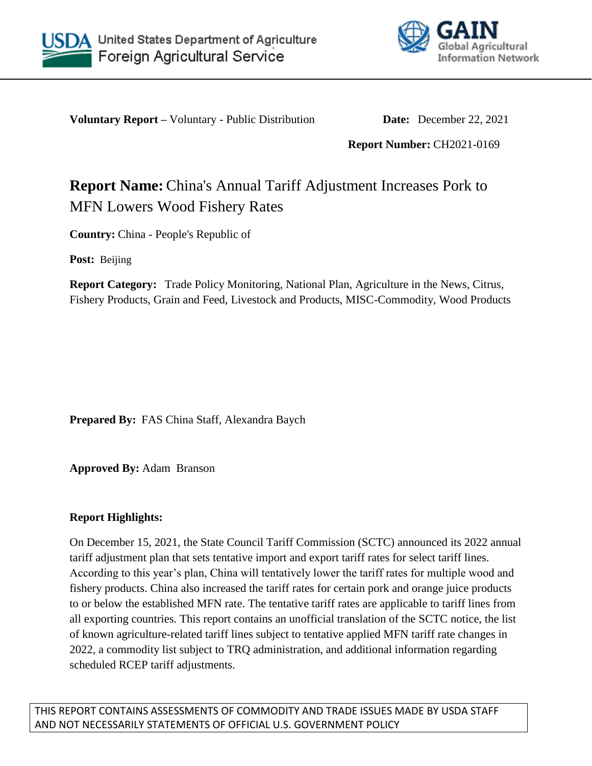



**Voluntary Report –** Voluntary - Public Distribution **Date:** December 22, 2021

**Report Number:** CH2021-0169

# **Report Name:** China's Annual Tariff Adjustment Increases Pork to MFN Lowers Wood Fishery Rates

**Country:** China - People's Republic of

**Post:** Beijing

**Report Category:** Trade Policy Monitoring, National Plan, Agriculture in the News, Citrus, Fishery Products, Grain and Feed, Livestock and Products, MISC-Commodity, Wood Products

**Prepared By:** FAS China Staff, Alexandra Baych

**Approved By:** Adam Branson

## **Report Highlights:**

On December 15, 2021, the State Council Tariff Commission (SCTC) announced its 2022 annual tariff adjustment plan that sets tentative import and export tariff rates for select tariff lines. According to this year's plan, China will tentatively lower the tariff rates for multiple wood and fishery products. China also increased the tariff rates for certain pork and orange juice products to or below the established MFN rate. The tentative tariff rates are applicable to tariff lines from all exporting countries. This report contains an unofficial translation of the SCTC notice, the list of known agriculture-related tariff lines subject to tentative applied MFN tariff rate changes in 2022, a commodity list subject to TRQ administration, and additional information regarding scheduled RCEP tariff adjustments.

THIS REPORT CONTAINS ASSESSMENTS OF COMMODITY AND TRADE ISSUES MADE BY USDA STAFF AND NOT NECESSARILY STATEMENTS OF OFFICIAL U.S. GOVERNMENT POLICY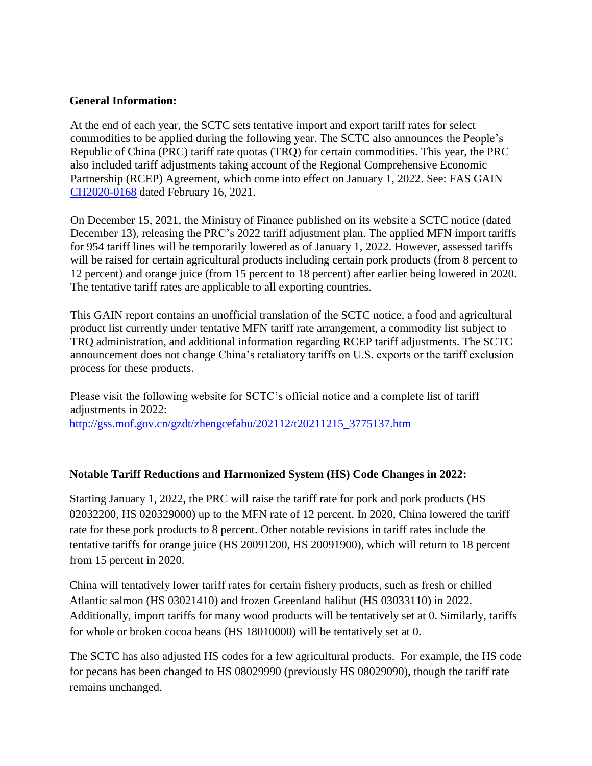#### **General Information:**

At the end of each year, the SCTC sets tentative import and export tariff rates for select commodities to be applied during the following year. The SCTC also announces the People's Republic of China (PRC) tariff rate quotas (TRQ) for certain commodities. This year, the PRC also included tariff adjustments taking account of the Regional Comprehensive Economic Partnership (RCEP) Agreement, which come into effect on January 1, 2022. See: FAS GAIN [CH2020-0168](https://apps.fas.usda.gov/newgainapi/api/Report/DownloadReportByFileName?fileName=Impact%20of%20RCEP%20on%20US%20Agricultural%20Exports%20to%20China_Beijing_China%20-%20People%27s%20Republic%20of_12-15-2020) dated February 16, 2021.

On December 15, 2021, the Ministry of Finance published on its website a SCTC notice (dated December 13), releasing the PRC's 2022 tariff adjustment plan. The applied MFN import tariffs for 954 tariff lines will be temporarily lowered as of January 1, 2022. However, assessed tariffs will be raised for certain agricultural products including certain pork products (from 8 percent to 12 percent) and orange juice (from 15 percent to 18 percent) after earlier being lowered in 2020. The tentative tariff rates are applicable to all exporting countries.

This GAIN report contains an unofficial translation of the SCTC notice, a food and agricultural product list currently under tentative MFN tariff rate arrangement, a commodity list subject to TRQ administration, and additional information regarding RCEP tariff adjustments. The SCTC announcement does not change China's retaliatory tariffs on U.S. exports or the tariff exclusion process for these products.

Please visit the following website for SCTC's official notice and a complete list of tariff adjustments in 2022: [http://gss.mof.gov.cn/gzdt/zhengcefabu/202112/t20211215\\_3775137.htm](http://gss.mof.gov.cn/gzdt/zhengcefabu/202112/t20211215_3775137.htm)

## **Notable Tariff Reductions and Harmonized System (HS) Code Changes in 2022:**

Starting January 1, 2022, the PRC will raise the tariff rate for pork and pork products (HS 02032200, HS 020329000) up to the MFN rate of 12 percent. In 2020, China lowered the tariff rate for these pork products to 8 percent. Other notable revisions in tariff rates include the tentative tariffs for orange juice (HS 20091200, HS 20091900), which will return to 18 percent from 15 percent in 2020.

China will tentatively lower tariff rates for certain fishery products, such as fresh or chilled Atlantic salmon (HS 03021410) and frozen Greenland halibut (HS 03033110) in 2022. Additionally, import tariffs for many wood products will be tentatively set at 0. Similarly, tariffs for whole or broken cocoa beans (HS 18010000) will be tentatively set at 0.

The SCTC has also adjusted HS codes for a few agricultural products. For example, the HS code for pecans has been changed to HS 08029990 (previously HS 08029090), though the tariff rate remains unchanged.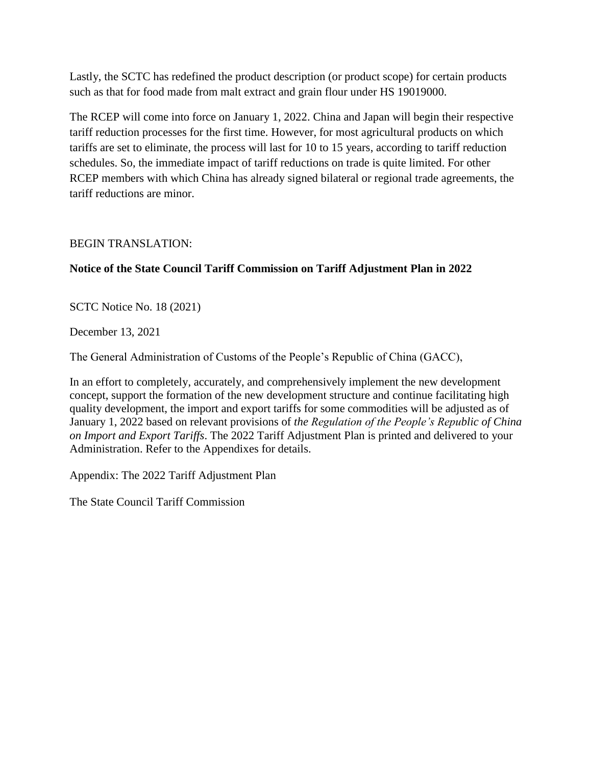Lastly, the SCTC has redefined the product description (or product scope) for certain products such as that for food made from malt extract and grain flour under HS 19019000.

The RCEP will come into force on January 1, 2022. China and Japan will begin their respective tariff reduction processes for the first time. However, for most agricultural products on which tariffs are set to eliminate, the process will last for 10 to 15 years, according to tariff reduction schedules. So, the immediate impact of tariff reductions on trade is quite limited. For other RCEP members with which China has already signed bilateral or regional trade agreements, the tariff reductions are minor.

## BEGIN TRANSLATION:

## **Notice of the State Council Tariff Commission on Tariff Adjustment Plan in 2022**

SCTC Notice No. 18 (2021)

December 13, 2021

The General Administration of Customs of the People's Republic of China (GACC),

In an effort to completely, accurately, and comprehensively implement the new development concept, support the formation of the new development structure and continue facilitating high quality development, the import and export tariffs for some commodities will be adjusted as of January 1, 2022 based on relevant provisions of *the Regulation of the People's Republic of China on Import and Export Tariffs*. The 2022 Tariff Adjustment Plan is printed and delivered to your Administration. Refer to the Appendixes for details.

Appendix: The 2022 Tariff Adjustment Plan

The State Council Tariff Commission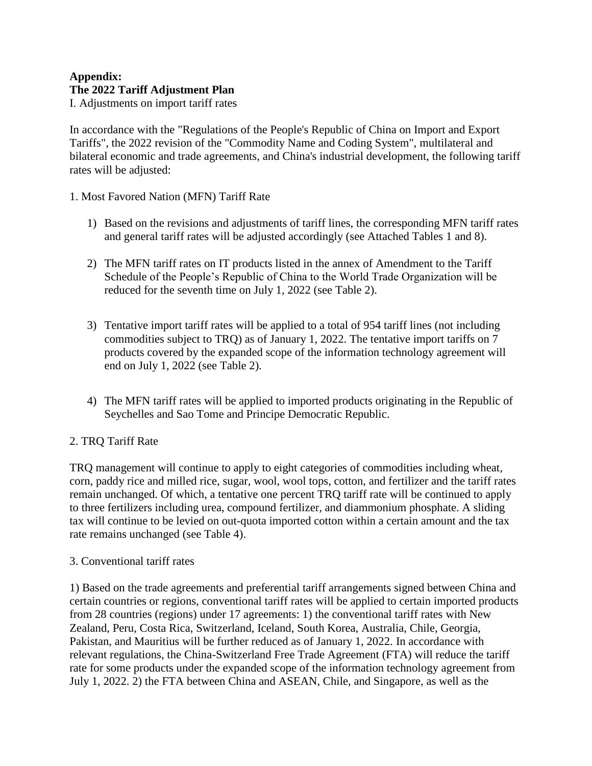#### **Appendix: The 2022 Tariff Adjustment Plan**  I. Adjustments on import tariff rates

In accordance with the "Regulations of the People's Republic of China on Import and Export Tariffs", the 2022 revision of the "Commodity Name and Coding System", multilateral and bilateral economic and trade agreements, and China's industrial development, the following tariff rates will be adjusted:

- 1. Most Favored Nation (MFN) Tariff Rate
	- 1) Based on the revisions and adjustments of tariff lines, the corresponding MFN tariff rates and general tariff rates will be adjusted accordingly (see Attached Tables 1 and 8).
	- 2) The MFN tariff rates on IT products listed in the annex of Amendment to the Tariff Schedule of the People's Republic of China to the World Trade Organization will be reduced for the seventh time on July 1, 2022 (see Table 2).
	- 3) Tentative import tariff rates will be applied to a total of 954 tariff lines (not including commodities subject to TRQ) as of January 1, 2022. The tentative import tariffs on 7 products covered by the expanded scope of the information technology agreement will end on July 1, 2022 (see Table 2).
	- 4) The MFN tariff rates will be applied to imported products originating in the Republic of Seychelles and Sao Tome and Principe Democratic Republic.

## 2. TRQ Tariff Rate

TRQ management will continue to apply to eight categories of commodities including wheat, corn, paddy rice and milled rice, sugar, wool, wool tops, cotton, and fertilizer and the tariff rates remain unchanged. Of which, a tentative one percent TRQ tariff rate will be continued to apply to three fertilizers including urea, compound fertilizer, and diammonium phosphate. A sliding tax will continue to be levied on out-quota imported cotton within a certain amount and the tax rate remains unchanged (see Table 4).

## 3. Conventional tariff rates

1) Based on the trade agreements and preferential tariff arrangements signed between China and certain countries or regions, conventional tariff rates will be applied to certain imported products from 28 countries (regions) under 17 agreements: 1) the conventional tariff rates with New Zealand, Peru, Costa Rica, Switzerland, Iceland, South Korea, Australia, Chile, Georgia, Pakistan, and Mauritius will be further reduced as of January 1, 2022. In accordance with relevant regulations, the China-Switzerland Free Trade Agreement (FTA) will reduce the tariff rate for some products under the expanded scope of the information technology agreement from July 1, 2022. 2) the FTA between China and ASEAN, Chile, and Singapore, as well as the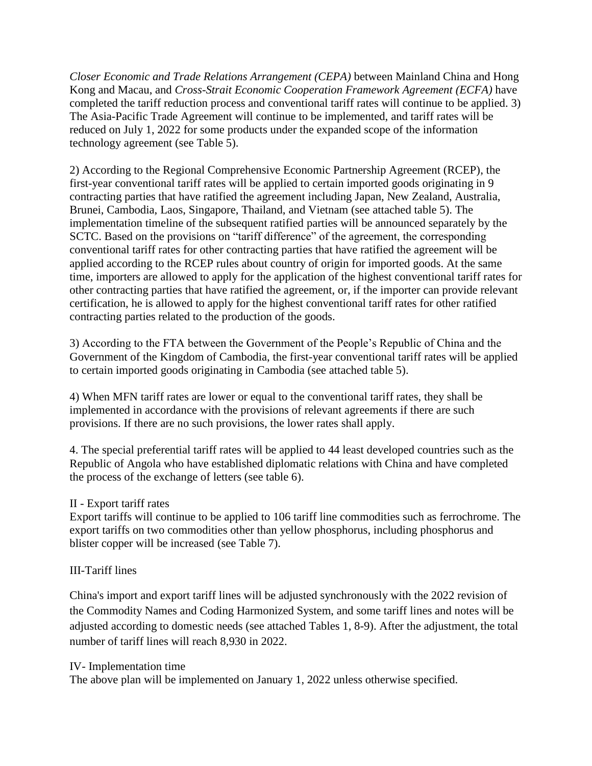*Closer Economic and Trade Relations Arrangement (CEPA)* between Mainland China and Hong Kong and Macau, and *Cross-Strait Economic Cooperation Framework Agreement (ECFA)* have completed the tariff reduction process and conventional tariff rates will continue to be applied. 3) The Asia-Pacific Trade Agreement will continue to be implemented, and tariff rates will be reduced on July 1, 2022 for some products under the expanded scope of the information technology agreement (see Table 5).

2) According to the Regional Comprehensive Economic Partnership Agreement (RCEP), the first-year conventional tariff rates will be applied to certain imported goods originating in 9 contracting parties that have ratified the agreement including Japan, New Zealand, Australia, Brunei, Cambodia, Laos, Singapore, Thailand, and Vietnam (see attached table 5). The implementation timeline of the subsequent ratified parties will be announced separately by the SCTC. Based on the provisions on "tariff difference" of the agreement, the corresponding conventional tariff rates for other contracting parties that have ratified the agreement will be applied according to the RCEP rules about country of origin for imported goods. At the same time, importers are allowed to apply for the application of the highest conventional tariff rates for other contracting parties that have ratified the agreement, or, if the importer can provide relevant certification, he is allowed to apply for the highest conventional tariff rates for other ratified contracting parties related to the production of the goods.

3) According to the FTA between the Government of the People's Republic of China and the Government of the Kingdom of Cambodia, the first-year conventional tariff rates will be applied to certain imported goods originating in Cambodia (see attached table 5).

4) When MFN tariff rates are lower or equal to the conventional tariff rates, they shall be implemented in accordance with the provisions of relevant agreements if there are such provisions. If there are no such provisions, the lower rates shall apply.

4. The special preferential tariff rates will be applied to 44 least developed countries such as the Republic of Angola who have established diplomatic relations with China and have completed the process of the exchange of letters (see table 6).

## II - Export tariff rates

Export tariffs will continue to be applied to 106 tariff line commodities such as ferrochrome. The export tariffs on two commodities other than yellow phosphorus, including phosphorus and blister copper will be increased (see Table 7).

## III-Tariff lines

China's import and export tariff lines will be adjusted synchronously with the 2022 revision of the Commodity Names and Coding Harmonized System, and some tariff lines and notes will be adjusted according to domestic needs (see attached Tables 1, 8-9). After the adjustment, the total number of tariff lines will reach 8,930 in 2022.

## IV- Implementation time

The above plan will be implemented on January 1, 2022 unless otherwise specified.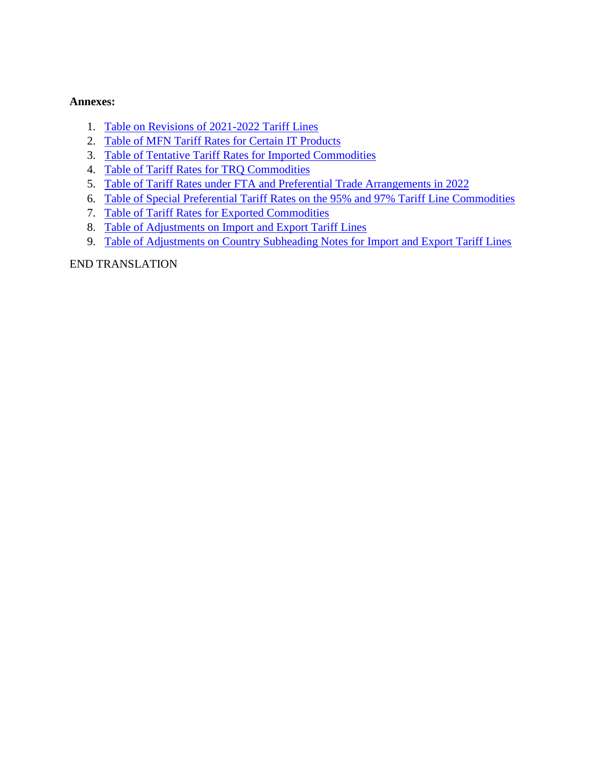#### **Annexes:**

- 1. [Table on Revisions of 2021-2022](http://gss.mof.gov.cn/gzdt/zhengcefabu/202112/P020211215573607953835.pdf) Tariff Lines
- 2. [Table of MFN Tariff Rates for Certain IT Products](http://gss.mof.gov.cn/gzdt/zhengcefabu/202112/P020211215573608334233.pdf)
- 3. [Table of Tentative Tariff Rates for Imported Commodities](http://gss.mof.gov.cn/gzdt/zhengcefabu/202112/P020211216589222125726.pdf)
- 4. [Table of Tariff Rates for TRQ Commodities](http://gss.mof.gov.cn/gzdt/zhengcefabu/202112/P020211215573608777618.pdf)
- 5. [Table of Tariff Rates under FTA and Preferential Trade Arrangements in 2022](http://gss.mof.gov.cn/gzdt/zhengcefabu/202112/P020211215573608944540.pdf)
- 6. [Table of Special Preferential Tariff Rates on the 95% and 97% Tariff Line Commodities](http://gss.mof.gov.cn/gzdt/zhengcefabu/202112/P020211215573609153367.pdf)
- 7. [Table of Tariff Rates for Exported Commodities](http://gss.mof.gov.cn/gzdt/zhengcefabu/202112/P020211215573609354130.pdf)
- 8. [Table of Adjustments on Import and Export Tariff Lines](http://gss.mof.gov.cn/gzdt/zhengcefabu/202112/P020211215573609524965.pdf)
- 9. [Table of Adjustments on Country Subheading Notes for Import and Export Tariff Lines](http://gss.mof.gov.cn/gzdt/zhengcefabu/202112/P020211215573609662412.pdf)

## END TRANSLATION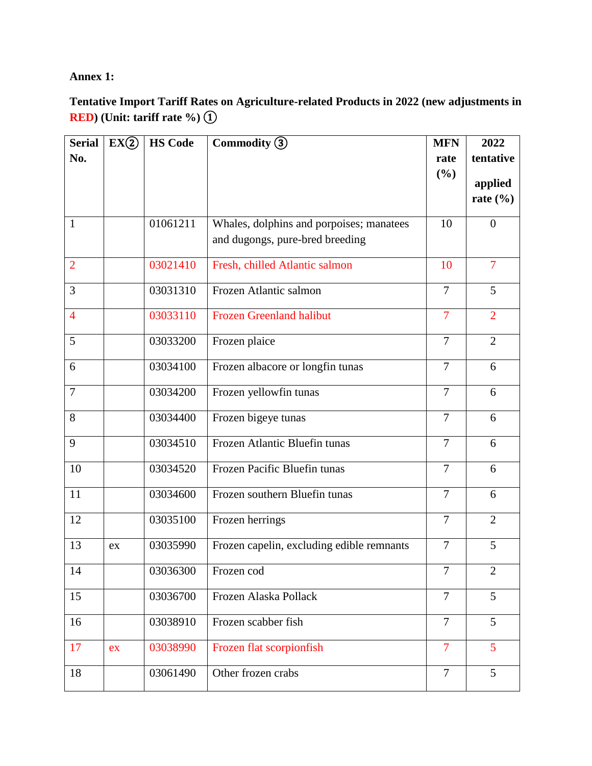## **Annex 1:**

# **Tentative Import Tariff Rates on Agriculture-related Products in 2022 (new adjustments in RED) (Unit: tariff rate %)** ①

| <b>Serial</b>  | EX(2) | <b>HS Code</b> | Commodity (3)                                                               | <b>MFN</b>     | 2022           |
|----------------|-------|----------------|-----------------------------------------------------------------------------|----------------|----------------|
| No.            |       |                |                                                                             | rate           | tentative      |
|                |       |                |                                                                             | (%)            | applied        |
|                |       |                |                                                                             |                | rate $(\% )$   |
|                |       | 01061211       |                                                                             |                |                |
| $\mathbf{1}$   |       |                | Whales, dolphins and porpoises; manatees<br>and dugongs, pure-bred breeding | 10             | $\overline{0}$ |
|                |       |                |                                                                             |                |                |
| $\overline{2}$ |       | 03021410       | Fresh, chilled Atlantic salmon                                              | 10             | $\overline{7}$ |
| 3              |       | 03031310       | Frozen Atlantic salmon                                                      | $\overline{7}$ | 5              |
| $\overline{4}$ |       | 03033110       | <b>Frozen Greenland halibut</b>                                             | $\overline{7}$ | $\overline{2}$ |
| 5              |       | 03033200       | Frozen plaice                                                               | $\overline{7}$ | $\overline{2}$ |
| 6              |       | 03034100       | Frozen albacore or longfin tunas                                            | $\overline{7}$ | 6              |
|                |       |                |                                                                             |                |                |
| $\overline{7}$ |       | 03034200       | Frozen yellowfin tunas                                                      | $\overline{7}$ | 6              |
| 8              |       | 03034400       | Frozen bigeye tunas                                                         | $\overline{7}$ | 6              |
| 9              |       | 03034510       | Frozen Atlantic Bluefin tunas                                               | $\overline{7}$ | 6              |
| 10             |       | 03034520       | Frozen Pacific Bluefin tunas                                                | $\overline{7}$ | 6              |
| 11             |       | 03034600       | Frozen southern Bluefin tunas                                               | $\overline{7}$ | 6              |
| 12             |       | 03035100       | Frozen herrings                                                             | $\overline{7}$ | $\overline{2}$ |
| 13             | ex    | 03035990       | Frozen capelin, excluding edible remnants                                   | $\overline{7}$ | 5              |
| 14             |       | 03036300       | Frozen cod                                                                  | $\overline{7}$ | $\overline{2}$ |
| 15             |       | 03036700       | Frozen Alaska Pollack                                                       | $\overline{7}$ | $\overline{5}$ |
|                |       |                |                                                                             |                |                |
| 16             |       | 03038910       | Frozen scabber fish                                                         | $\overline{7}$ | 5              |
| 17             | ex    | 03038990       | Frozen flat scorpionfish                                                    | 7              | 5              |
| 18             |       | 03061490       | Other frozen crabs                                                          | $\overline{7}$ | 5 <sup>5</sup> |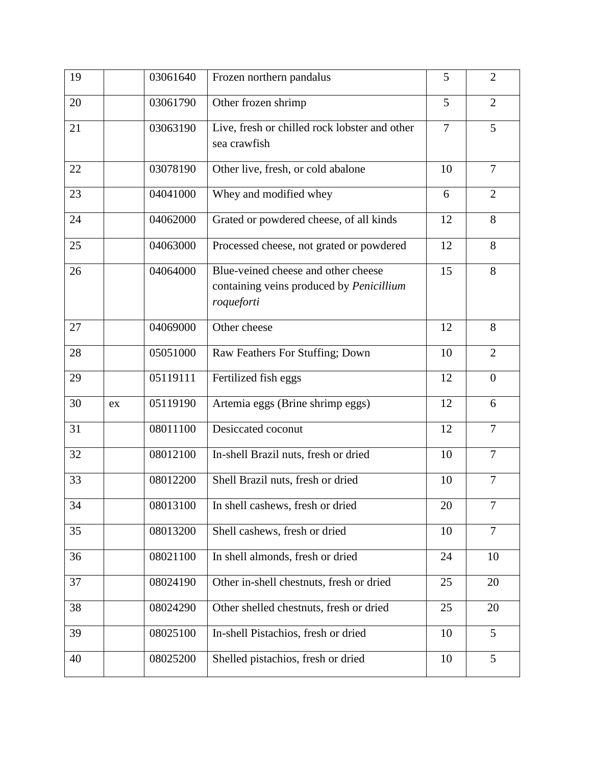| 19 |    | 03061640 | Frozen northern pandalus                                                                      | 5              | $\overline{2}$ |
|----|----|----------|-----------------------------------------------------------------------------------------------|----------------|----------------|
| 20 |    | 03061790 | Other frozen shrimp                                                                           | 5              | $\overline{2}$ |
| 21 |    | 03063190 | Live, fresh or chilled rock lobster and other<br>sea crawfish                                 | $\overline{7}$ | 5              |
| 22 |    | 03078190 | Other live, fresh, or cold abalone                                                            | 10             | $\overline{7}$ |
| 23 |    | 04041000 | Whey and modified whey                                                                        | 6              | $\overline{2}$ |
| 24 |    | 04062000 | Grated or powdered cheese, of all kinds                                                       | 12             | 8              |
| 25 |    | 04063000 | Processed cheese, not grated or powdered                                                      | 12             | 8              |
| 26 |    | 04064000 | Blue-veined cheese and other cheese<br>containing veins produced by Penicillium<br>roqueforti | 15             | 8              |
| 27 |    | 04069000 | Other cheese                                                                                  | 12             | 8              |
| 28 |    | 05051000 | Raw Feathers For Stuffing; Down                                                               | 10             | $\overline{2}$ |
| 29 |    | 05119111 | Fertilized fish eggs                                                                          | 12             | $\theta$       |
| 30 | ex | 05119190 | Artemia eggs (Brine shrimp eggs)                                                              | 12             | 6              |
| 31 |    | 08011100 | Desiccated coconut                                                                            | 12             | $\overline{7}$ |
| 32 |    | 08012100 | In-shell Brazil nuts, fresh or dried                                                          | 10             | $\overline{7}$ |
| 33 |    | 08012200 | Shell Brazil nuts, fresh or dried                                                             | 10             | $\overline{7}$ |
| 34 |    | 08013100 | In shell cashews, fresh or dried                                                              | 20             | 7              |
| 35 |    | 08013200 | Shell cashews, fresh or dried                                                                 | 10             | $\overline{7}$ |
| 36 |    | 08021100 | In shell almonds, fresh or dried                                                              | 24             | 10             |
| 37 |    | 08024190 | Other in-shell chestnuts, fresh or dried                                                      | 25             | 20             |
| 38 |    | 08024290 | Other shelled chestnuts, fresh or dried                                                       | 25             | 20             |
| 39 |    | 08025100 | In-shell Pistachios, fresh or dried                                                           | 10             | 5              |
| 40 |    | 08025200 | Shelled pistachios, fresh or dried                                                            | 10             | 5              |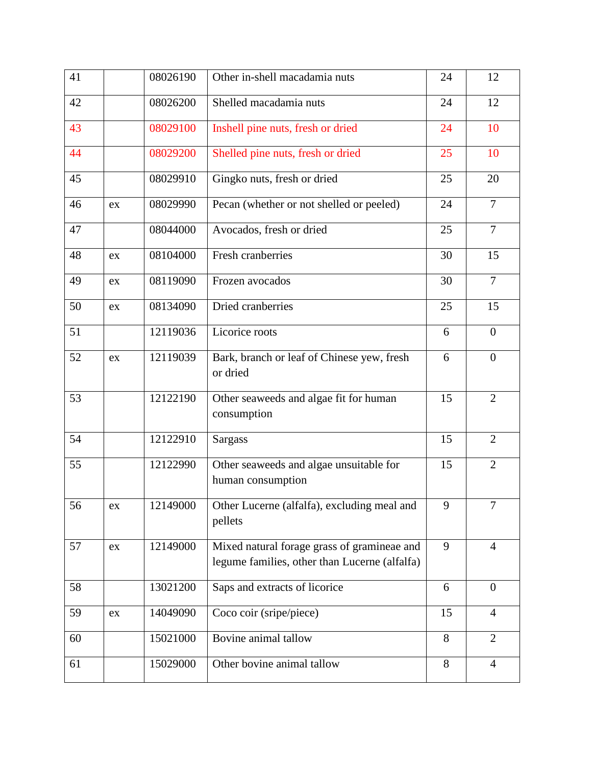| 41 |            | 08026190 | Other in-shell macadamia nuts                                                                | 24 | 12             |
|----|------------|----------|----------------------------------------------------------------------------------------------|----|----------------|
| 42 |            | 08026200 | Shelled macadamia nuts                                                                       | 24 | 12             |
| 43 |            | 08029100 | Inshell pine nuts, fresh or dried                                                            | 24 | 10             |
| 44 |            | 08029200 | Shelled pine nuts, fresh or dried                                                            | 25 | 10             |
| 45 |            | 08029910 | Gingko nuts, fresh or dried                                                                  | 25 | 20             |
| 46 | ex         | 08029990 | Pecan (whether or not shelled or peeled)                                                     | 24 | $\overline{7}$ |
| 47 |            | 08044000 | Avocados, fresh or dried                                                                     | 25 | $\overline{7}$ |
| 48 | ex         | 08104000 | Fresh cranberries                                                                            | 30 | 15             |
| 49 | ex         | 08119090 | Frozen avocados                                                                              | 30 | $\overline{7}$ |
| 50 | ex         | 08134090 | Dried cranberries                                                                            | 25 | 15             |
| 51 |            | 12119036 | Licorice roots                                                                               | 6  | $\theta$       |
| 52 | ex         | 12119039 | Bark, branch or leaf of Chinese yew, fresh<br>or dried                                       | 6  | $\overline{0}$ |
| 53 |            | 12122190 | Other seaweeds and algae fit for human<br>consumption                                        | 15 | $\overline{2}$ |
| 54 |            | 12122910 | <b>Sargass</b>                                                                               | 15 | $\overline{2}$ |
| 55 |            | 12122990 | Other seaweeds and algae unsuitable for<br>human consumption                                 | 15 | $\overline{2}$ |
| 56 | ex         | 12149000 | Other Lucerne (alfalfa), excluding meal and<br>pellets                                       | 9  |                |
| 57 | ex         | 12149000 | Mixed natural forage grass of gramineae and<br>legume families, other than Lucerne (alfalfa) | 9  | 4              |
| 58 |            | 13021200 | Saps and extracts of licorice                                                                | 6  | $\theta$       |
| 59 | ${\rm ex}$ | 14049090 | Coco coir (sripe/piece)                                                                      | 15 | $\overline{4}$ |
| 60 |            | 15021000 | Bovine animal tallow                                                                         | 8  | $\overline{2}$ |
| 61 |            | 15029000 | Other bovine animal tallow                                                                   | 8  | $\overline{4}$ |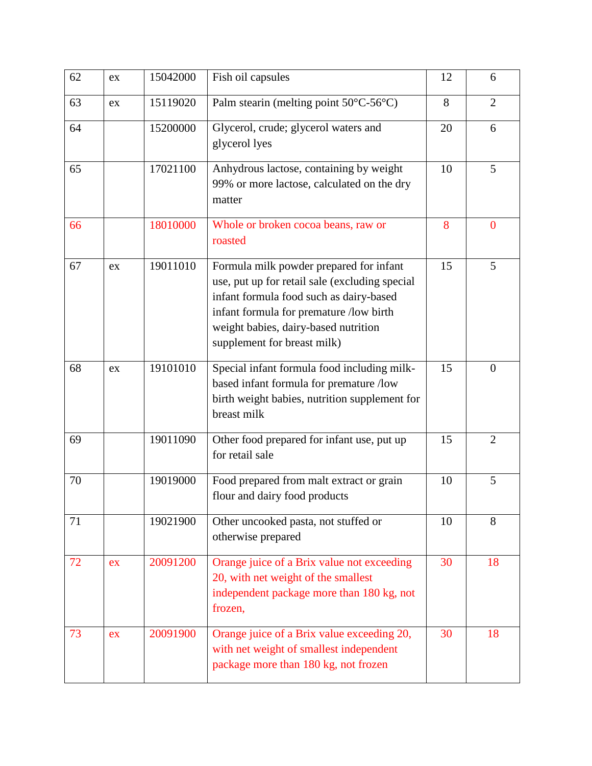| 62 | ex | 15042000 | Fish oil capsules                                                                                                                                                                                                                                      | 12 | 6              |
|----|----|----------|--------------------------------------------------------------------------------------------------------------------------------------------------------------------------------------------------------------------------------------------------------|----|----------------|
| 63 | ex | 15119020 | Palm stearin (melting point 50°C-56°C)                                                                                                                                                                                                                 | 8  | $\overline{2}$ |
| 64 |    | 15200000 | Glycerol, crude; glycerol waters and<br>glycerol lyes                                                                                                                                                                                                  | 20 | 6              |
| 65 |    | 17021100 | Anhydrous lactose, containing by weight<br>99% or more lactose, calculated on the dry<br>matter                                                                                                                                                        | 10 | 5              |
| 66 |    | 18010000 | Whole or broken cocoa beans, raw or<br>roasted                                                                                                                                                                                                         | 8  | $\overline{0}$ |
| 67 | ex | 19011010 | Formula milk powder prepared for infant<br>use, put up for retail sale (excluding special<br>infant formula food such as dairy-based<br>infant formula for premature /low birth<br>weight babies, dairy-based nutrition<br>supplement for breast milk) | 15 | 5              |
| 68 | ex | 19101010 | Special infant formula food including milk-<br>based infant formula for premature /low<br>birth weight babies, nutrition supplement for<br>breast milk                                                                                                 | 15 | $\theta$       |
| 69 |    | 19011090 | Other food prepared for infant use, put up<br>for retail sale                                                                                                                                                                                          | 15 | $\overline{2}$ |
| 70 |    | 19019000 | Food prepared from malt extract or grain<br>flour and dairy food products                                                                                                                                                                              | 10 | 5              |
| 71 |    | 19021900 | Other uncooked pasta, not stuffed or<br>otherwise prepared                                                                                                                                                                                             | 10 | 8              |
| 72 | ex | 20091200 | Orange juice of a Brix value not exceeding<br>20, with net weight of the smallest<br>independent package more than 180 kg, not<br>frozen,                                                                                                              | 30 | 18             |
| 73 | ex | 20091900 | Orange juice of a Brix value exceeding 20,<br>with net weight of smallest independent<br>package more than 180 kg, not frozen                                                                                                                          | 30 | 18             |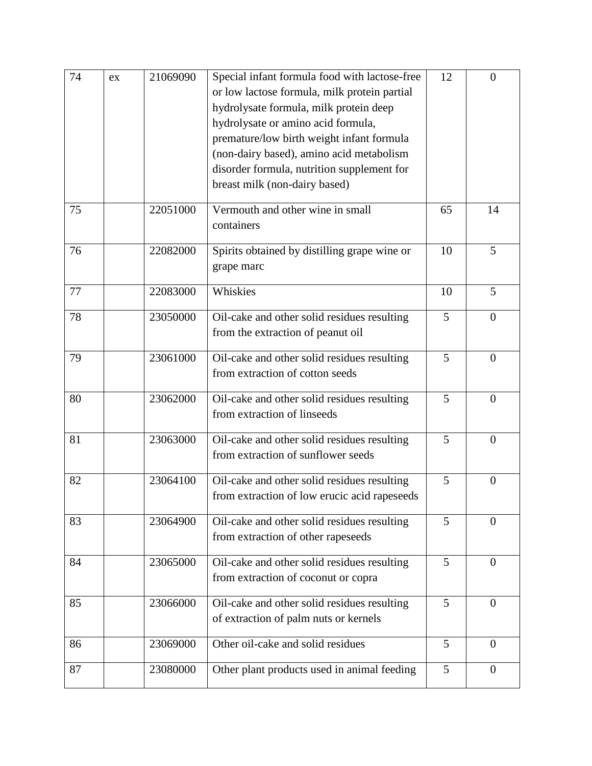| 74 | ex | 21069090 | Special infant formula food with lactose-free<br>or low lactose formula, milk protein partial<br>hydrolysate formula, milk protein deep<br>hydrolysate or amino acid formula,<br>premature/low birth weight infant formula<br>(non-dairy based), amino acid metabolism<br>disorder formula, nutrition supplement for<br>breast milk (non-dairy based) | 12              | $\overline{0}$ |
|----|----|----------|-------------------------------------------------------------------------------------------------------------------------------------------------------------------------------------------------------------------------------------------------------------------------------------------------------------------------------------------------------|-----------------|----------------|
| 75 |    | 22051000 | Vermouth and other wine in small<br>containers                                                                                                                                                                                                                                                                                                        | 65              | 14             |
| 76 |    | 22082000 | Spirits obtained by distilling grape wine or<br>grape marc                                                                                                                                                                                                                                                                                            | 10              | 5              |
| 77 |    | 22083000 | Whiskies                                                                                                                                                                                                                                                                                                                                              | 10              | 5              |
| 78 |    | 23050000 | Oil-cake and other solid residues resulting<br>from the extraction of peanut oil                                                                                                                                                                                                                                                                      | 5               | $\overline{0}$ |
| 79 |    | 23061000 | Oil-cake and other solid residues resulting<br>from extraction of cotton seeds                                                                                                                                                                                                                                                                        | 5               | $\theta$       |
| 80 |    | 23062000 | Oil-cake and other solid residues resulting<br>from extraction of linseeds                                                                                                                                                                                                                                                                            | 5               | $\overline{0}$ |
| 81 |    | 23063000 | Oil-cake and other solid residues resulting<br>from extraction of sunflower seeds                                                                                                                                                                                                                                                                     | 5               | $\overline{0}$ |
| 82 |    | 23064100 | Oil-cake and other solid residues resulting<br>from extraction of low erucic acid rapeseeds                                                                                                                                                                                                                                                           | 5               | $\overline{0}$ |
| 83 |    | 23064900 | Oil-cake and other solid residues resulting<br>from extraction of other rapeseeds                                                                                                                                                                                                                                                                     | 5               | $\overline{0}$ |
| 84 |    | 23065000 | Oil-cake and other solid residues resulting<br>from extraction of coconut or copra                                                                                                                                                                                                                                                                    | 5               | $\overline{0}$ |
| 85 |    | 23066000 | Oil-cake and other solid residues resulting<br>of extraction of palm nuts or kernels                                                                                                                                                                                                                                                                  | 5               | $\overline{0}$ |
| 86 |    | 23069000 | Other oil-cake and solid residues                                                                                                                                                                                                                                                                                                                     | 5               | $\overline{0}$ |
| 87 |    | 23080000 | Other plant products used in animal feeding                                                                                                                                                                                                                                                                                                           | $5\overline{)}$ | $\theta$       |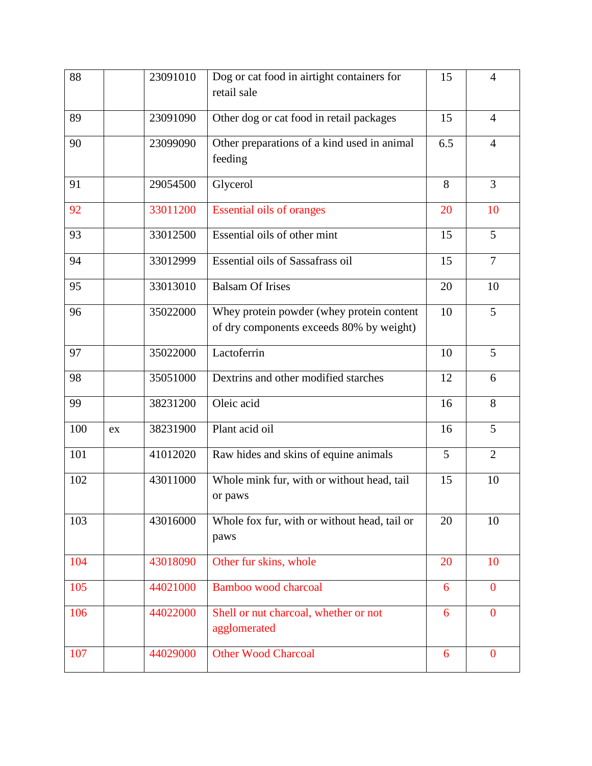| 88  |    | 23091010 | Dog or cat food in airtight containers for<br>retail sale                             | 15             | 4              |
|-----|----|----------|---------------------------------------------------------------------------------------|----------------|----------------|
| 89  |    | 23091090 | Other dog or cat food in retail packages                                              | 15             | $\overline{4}$ |
| 90  |    | 23099090 | Other preparations of a kind used in animal<br>feeding                                | 6.5            | $\overline{4}$ |
| 91  |    | 29054500 | Glycerol                                                                              | 8              | $\overline{3}$ |
| 92  |    | 33011200 | <b>Essential oils of oranges</b>                                                      | 20             | 10             |
| 93  |    | 33012500 | Essential oils of other mint                                                          | 15             | 5              |
| 94  |    | 33012999 | Essential oils of Sassafrass oil                                                      | 15             | $\overline{7}$ |
| 95  |    | 33013010 | <b>Balsam Of Irises</b>                                                               | 20             | 10             |
| 96  |    | 35022000 | Whey protein powder (whey protein content<br>of dry components exceeds 80% by weight) | 10             | 5              |
| 97  |    | 35022000 | Lactoferrin                                                                           | 10             | 5              |
| 98  |    | 35051000 | Dextrins and other modified starches                                                  | 12             | 6              |
| 99  |    | 38231200 | Oleic acid                                                                            | 16             | 8              |
| 100 | ex | 38231900 | Plant acid oil                                                                        | 16             | 5              |
| 101 |    | 41012020 | Raw hides and skins of equine animals                                                 | 5 <sup>5</sup> | $\overline{2}$ |
| 102 |    | 43011000 | Whole mink fur, with or without head, tail<br>or paws                                 | 15             | 10             |
| 103 |    | 43016000 | Whole fox fur, with or without head, tail or<br>paws                                  | 20             | 10             |
| 104 |    | 43018090 | Other fur skins, whole                                                                | 20             | 10             |
| 105 |    | 44021000 | Bamboo wood charcoal                                                                  | 6              | $\mathbf{0}$   |
| 106 |    | 44022000 | Shell or nut charcoal, whether or not<br>agglomerated                                 | 6              | $\overline{0}$ |
| 107 |    | 44029000 | <b>Other Wood Charcoal</b>                                                            | 6              | $\mathbf{0}$   |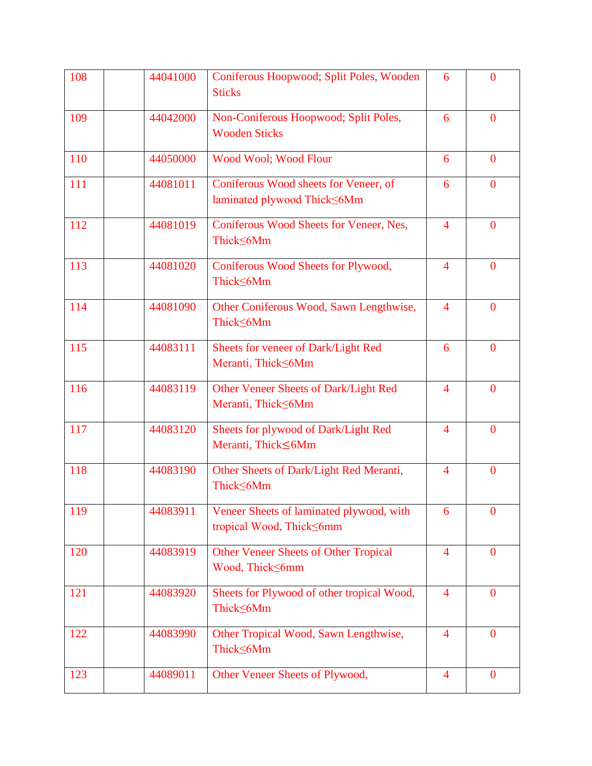| 108 | 44041000 | Coniferous Hoopwood; Split Poles, Wooden<br><b>Sticks</b>             | 6                        | $\overline{0}$   |
|-----|----------|-----------------------------------------------------------------------|--------------------------|------------------|
| 109 | 44042000 | Non-Coniferous Hoopwood; Split Poles,<br><b>Wooden Sticks</b>         | 6                        | $\mathbf{0}$     |
| 110 | 44050000 | Wood Wool; Wood Flour                                                 | 6                        | $\mathbf{0}$     |
| 111 | 44081011 | Coniferous Wood sheets for Veneer, of<br>laminated plywood Thick <6Mm | 6                        | $\overline{0}$   |
| 112 | 44081019 | Coniferous Wood Sheets for Veneer, Nes,<br>Thick≤6Mm                  | $\overline{4}$           | $\theta$         |
| 113 | 44081020 | Coniferous Wood Sheets for Plywood,<br>ThickS6Mm                      | $\overline{\mathcal{A}}$ | $\overline{0}$   |
| 114 | 44081090 | Other Coniferous Wood, Sawn Lengthwise,<br>Thick≤6Mm                  | $\overline{4}$           | $\overline{0}$   |
| 115 | 44083111 | Sheets for veneer of Dark/Light Red<br>Meranti, Thick 6Mm             | 6                        | $\overline{0}$   |
| 116 | 44083119 | Other Veneer Sheets of Dark/Light Red<br>Meranti, Thick≤6Mm           | $\overline{4}$           | $\mathbf{0}$     |
| 117 | 44083120 | Sheets for plywood of Dark/Light Red<br>Meranti, Thick≤6Mm            | $\overline{4}$           | $\mathbf{0}$     |
| 118 | 44083190 | Other Sheets of Dark/Light Red Meranti,<br>Thick≤6Mm                  | $\overline{\mathcal{A}}$ | $\mathbf{0}$     |
| 119 | 44083911 | Veneer Sheets of laminated plywood, with<br>tropical Wood, ThickS6mm  | 6                        | $\boldsymbol{0}$ |
| 120 | 44083919 | <b>Other Veneer Sheets of Other Tropical</b><br>Wood, ThickS6mm       | $\overline{4}$           | $\mathbf{0}$     |
| 121 | 44083920 | Sheets for Plywood of other tropical Wood,<br>Thick≤6Mm               | $\overline{4}$           | $\mathbf{0}$     |
| 122 | 44083990 | Other Tropical Wood, Sawn Lengthwise,<br>Thick≤6Mm                    | $\overline{4}$           | $\mathbf{0}$     |
| 123 | 44089011 | Other Veneer Sheets of Plywood,                                       | $\overline{4}$           | $\bf{0}$         |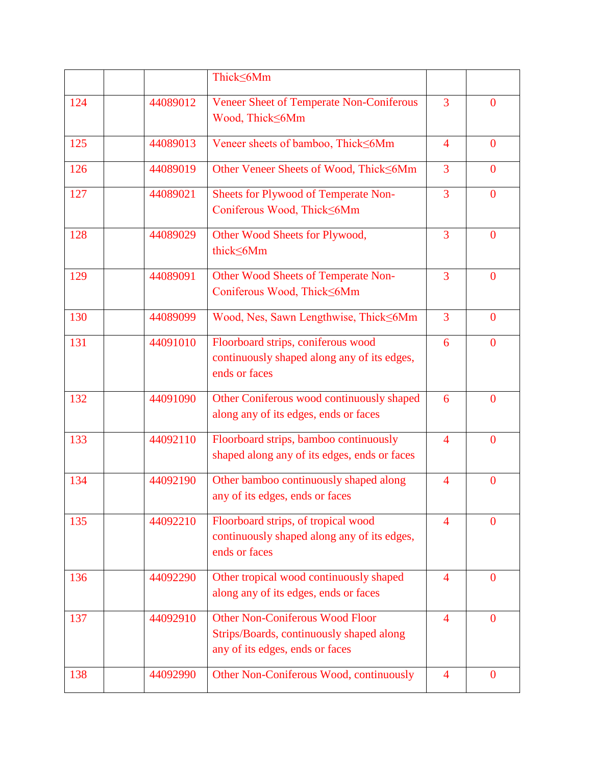|     |          | Thick≤6Mm                                                                                                             |                |                |
|-----|----------|-----------------------------------------------------------------------------------------------------------------------|----------------|----------------|
| 124 | 44089012 | <b>Veneer Sheet of Temperate Non-Coniferous</b><br>Wood, Thick≤6Mm                                                    | 3              | $\Omega$       |
| 125 | 44089013 | Veneer sheets of bamboo, Thick<6Mm                                                                                    | $\overline{4}$ | $\theta$       |
| 126 | 44089019 | Other Veneer Sheets of Wood, Thick<6Mm                                                                                | $\overline{3}$ | $\overline{0}$ |
| 127 | 44089021 | Sheets for Plywood of Temperate Non-<br>Coniferous Wood, Thick≤6Mm                                                    | $\overline{3}$ | $\overline{0}$ |
| 128 | 44089029 | Other Wood Sheets for Plywood,<br>thick 6Mm                                                                           | 3              | $\overline{0}$ |
| 129 | 44089091 | <b>Other Wood Sheets of Temperate Non-</b><br>Coniferous Wood, Thick≤6Mm                                              | 3              | $\overline{0}$ |
| 130 | 44089099 | Wood, Nes, Sawn Lengthwise, Thick <6Mm                                                                                | $\overline{3}$ | $\overline{0}$ |
| 131 | 44091010 | Floorboard strips, coniferous wood<br>continuously shaped along any of its edges,<br>ends or faces                    | 6              | $\Omega$       |
| 132 | 44091090 | Other Coniferous wood continuously shaped<br>along any of its edges, ends or faces                                    | 6              | $\Omega$       |
| 133 | 44092110 | Floorboard strips, bamboo continuously<br>shaped along any of its edges, ends or faces                                | $\overline{4}$ | $\overline{0}$ |
| 134 | 44092190 | Other bamboo continuously shaped along<br>any of its edges, ends or faces                                             | $\overline{4}$ | $\overline{0}$ |
| 135 | 44092210 | Floorboard strips, of tropical wood<br>continuously shaped along any of its edges,<br>ends or faces                   | $\overline{4}$ | $\theta$       |
| 136 | 44092290 | Other tropical wood continuously shaped<br>along any of its edges, ends or faces                                      | $\overline{4}$ | $\overline{0}$ |
| 137 | 44092910 | <b>Other Non-Coniferous Wood Floor</b><br>Strips/Boards, continuously shaped along<br>any of its edges, ends or faces | $\overline{4}$ | $\overline{0}$ |
| 138 | 44092990 | Other Non-Coniferous Wood, continuously                                                                               | $\overline{4}$ | $\bf{0}$       |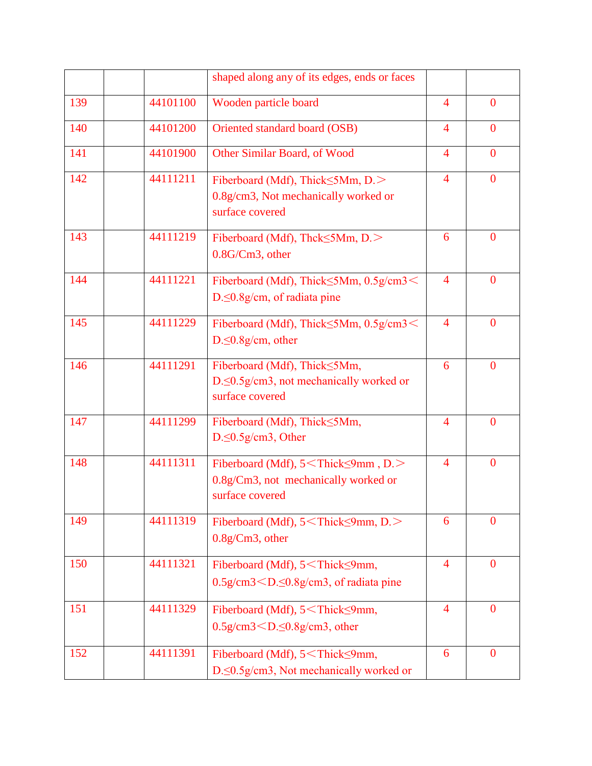|     |          | shaped along any of its edges, ends or faces                                                                                                                                                                                                                         |                          |                |
|-----|----------|----------------------------------------------------------------------------------------------------------------------------------------------------------------------------------------------------------------------------------------------------------------------|--------------------------|----------------|
| 139 | 44101100 | Wooden particle board                                                                                                                                                                                                                                                | $\overline{4}$           | $\overline{0}$ |
| 140 | 44101200 | Oriented standard board (OSB)                                                                                                                                                                                                                                        | $\overline{4}$           | $\mathbf{0}$   |
| 141 | 44101900 | Other Similar Board, of Wood                                                                                                                                                                                                                                         | $\overline{4}$           | $\mathbf{0}$   |
| 142 | 44111211 | Fiberboard (Mdf), Thick $\leq$ 5Mm, D. $>$<br>0.8g/cm3, Not mechanically worked or<br>surface covered                                                                                                                                                                | $\overline{4}$           | $\overline{0}$ |
| 143 | 44111219 | Fiberboard (Mdf), Thck $\leq$ 5Mm, D. $>$<br>0.8G/Cm3, other                                                                                                                                                                                                         | 6                        | $\mathbf{0}$   |
| 144 | 44111221 | Fiberboard (Mdf), Thick  SMm, 0.5g/cm3  left  SMM, 0.5g/cm3  left  SMM, 0.5g/cm3  left  SMM, 0.5g/cm3  left  SMM, 0.5g/cm3  left  SMM, 0.5g/cm3  left  SMM, 0.5g/cm3  left  SMM, 0.5g/cm3  left  SMM, 0.5g/cm3  left  SMM, 0.5<br>$D \leq 0.8g/cm$ , of radiata pine | $\overline{4}$           | $\overline{0}$ |
| 145 | 44111229 | Fiberboard (Mdf), Thick≤5Mm, 0.5g/cm3 <<br>$D \leq 0.8g/cm$ , other                                                                                                                                                                                                  | $\overline{4}$           | $\overline{0}$ |
| 146 | 44111291 | Fiberboard (Mdf), Thick <5Mm,<br>D. < 0.5g/cm3, not mechanically worked or<br>surface covered                                                                                                                                                                        | 6                        | $\mathbf{0}$   |
| 147 | 44111299 | Fiberboard (Mdf), Thick <5Mm,<br>$D \leq 0.5$ g/cm3, Other                                                                                                                                                                                                           | $\overline{\mathcal{A}}$ | $\overline{0}$ |
| 148 | 44111311 | Fiberboard (Mdf), 5 <thick≤9mm, d.=""><br/>0.8g/Cm3, not mechanically worked or<br/>surface covered</thick≤9mm,>                                                                                                                                                     | $\overline{\mathcal{A}}$ | $\overline{0}$ |
| 149 | 44111319 | Fiberboard (Mdf), 5 <thick≤9mm, d.=""><br/><math>0.8g/Cm3</math>, other</thick≤9mm,>                                                                                                                                                                                 | 6                        | $\overline{0}$ |
| 150 | 44111321 | Fiberboard (Mdf), 5 <thick≤9mm,<br><math>0.5</math>g/cm<math>3</math> <math>\leq</math> <math>D.5</math><math>8</math>g/cm<math>3</math>, of radiata pine</thick≤9mm,<br>                                                                                            | $\overline{4}$           | $\mathbf{0}$   |
| 151 | 44111329 | Fiberboard (Mdf), 5 <thick<9mm,<br><math>0.5</math>g/cm<math>3</math> <math>\leq</math> <math>D \leq 0.8</math>g/cm<math>3</math>, other</thick<9mm,<br>                                                                                                             | $\overline{4}$           | $\mathbf{0}$   |
| 152 | 44111391 | Fiberboard (Mdf), 5 <thick<9mm,<br>D. &lt; 0.5 g/cm3, Not mechanically worked or</thick<9mm,<br>                                                                                                                                                                     | 6                        | $\overline{0}$ |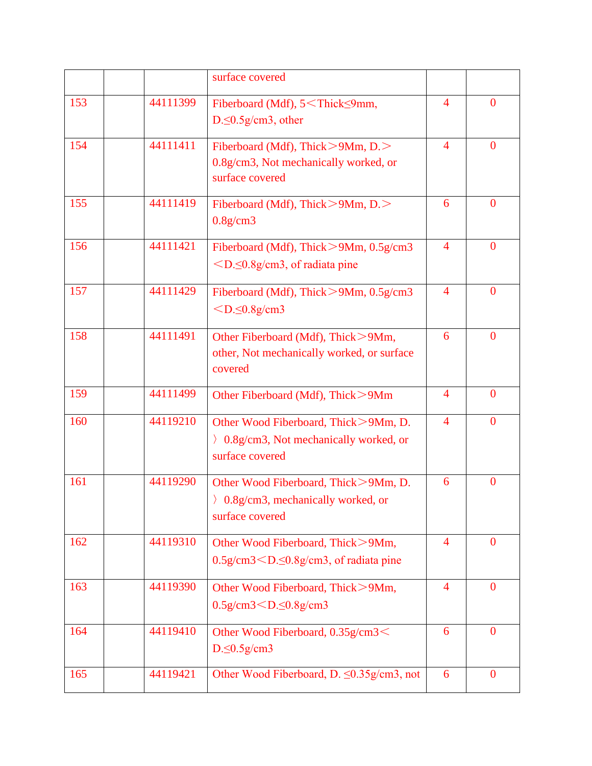|     |          | surface covered                                                                                        |                |                  |
|-----|----------|--------------------------------------------------------------------------------------------------------|----------------|------------------|
| 153 | 44111399 | Fiberboard (Mdf), 5 <thick≤9mm,<br><math>D \leq 0.5</math>g/cm3, other</thick≤9mm,<br>                 | 4              | $\overline{0}$   |
| 154 | 44111411 | Fiberboard (Mdf), Thick $>9Mm$ , D. $>$<br>0.8g/cm3, Not mechanically worked, or<br>surface covered    | $\overline{4}$ | $\overline{0}$   |
| 155 | 44111419 | Fiberboard (Mdf), Thick > 9Mm, D. ><br>$0.8$ g/cm $3$                                                  | 6              | $\mathbf{0}$     |
| 156 | 44111421 | Fiberboard (Mdf), Thick $> 9Mm$ , 0.5g/cm3<br>$\leq$ D. $\leq$ 0.8g/cm3, of radiata pine               | $\overline{4}$ | $\overline{0}$   |
| 157 | 44111429 | Fiberboard (Mdf), Thick>9Mm, 0.5g/cm3<br>$<$ D. $\leq$ 0.8g/cm3                                        | $\overline{4}$ | $\mathbf{0}$     |
| 158 | 44111491 | Other Fiberboard (Mdf), Thick>9Mm,<br>other, Not mechanically worked, or surface<br>covered            | 6              | $\overline{0}$   |
| 159 | 44111499 | Other Fiberboard (Mdf), Thick>9Mm                                                                      | $\overline{4}$ | $\overline{0}$   |
| 160 | 44119210 | Other Wood Fiberboard, Thick>9Mm, D.<br>> 0.8g/cm3, Not mechanically worked, or<br>surface covered     | $\overline{4}$ | $\theta$         |
| 161 | 44119290 | Other Wood Fiberboard, Thick>9Mm, D.<br>$\langle$ 0.8g/cm3, mechanically worked, or<br>surface covered | 6              | $\boldsymbol{0}$ |
| 162 | 44119310 | Other Wood Fiberboard, Thick>9Mm,<br>$0.5$ g/cm $3$ $\leq$ $D.5$ $8$ g/cm $3$ , of radiata pine        | $\overline{4}$ | $\mathbf{0}$     |
| 163 | 44119390 | Other Wood Fiberboard, Thick>9Mm,<br>0.5g/cm3 $<$ D. $\leq$ 0.8g/cm3                                   | $\overline{4}$ | $\mathbf{0}$     |
| 164 | 44119410 | Other Wood Fiberboard, 0.35g/cm3 <<br>$D \leq 0.5$ g/cm3                                               | 6              | $\mathbf{0}$     |
| 165 | 44119421 | Other Wood Fiberboard, D. ≤0.35g/cm3, not                                                              | 6              | $\bf{0}$         |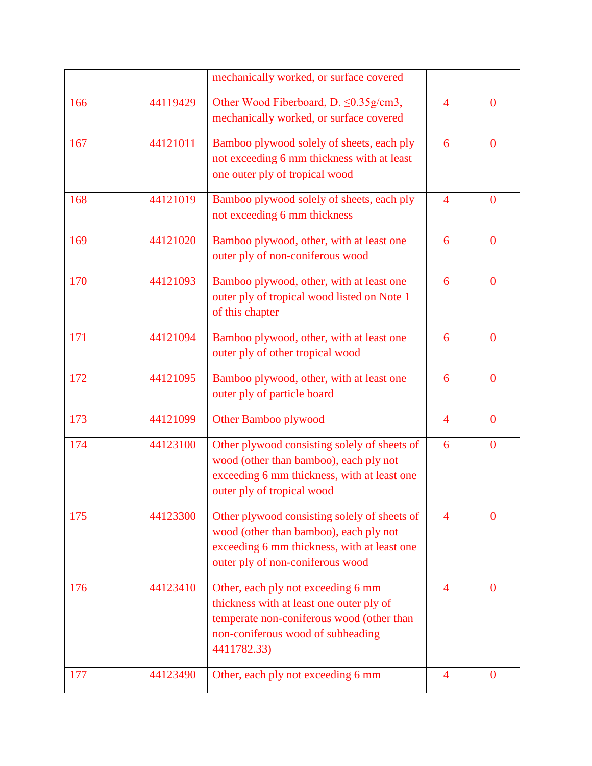|     |          | mechanically worked, or surface covered                                                                                                                                         |                          |                |
|-----|----------|---------------------------------------------------------------------------------------------------------------------------------------------------------------------------------|--------------------------|----------------|
| 166 | 44119429 | Other Wood Fiberboard, D. ≤0.35g/cm3,<br>mechanically worked, or surface covered                                                                                                | $\overline{\mathcal{A}}$ | $\overline{0}$ |
| 167 | 44121011 | Bamboo plywood solely of sheets, each ply<br>not exceeding 6 mm thickness with at least<br>one outer ply of tropical wood                                                       | 6                        | $\overline{0}$ |
| 168 | 44121019 | Bamboo plywood solely of sheets, each ply<br>not exceeding 6 mm thickness                                                                                                       | $\overline{4}$           | $\overline{0}$ |
| 169 | 44121020 | Bamboo plywood, other, with at least one<br>outer ply of non-coniferous wood                                                                                                    | 6                        | $\overline{0}$ |
| 170 | 44121093 | Bamboo plywood, other, with at least one<br>outer ply of tropical wood listed on Note 1<br>of this chapter                                                                      | 6                        | $\overline{0}$ |
| 171 | 44121094 | Bamboo plywood, other, with at least one<br>outer ply of other tropical wood                                                                                                    | 6                        | $\mathbf{0}$   |
| 172 | 44121095 | Bamboo plywood, other, with at least one<br>outer ply of particle board                                                                                                         | 6                        | $\mathbf{0}$   |
| 173 | 44121099 | Other Bamboo plywood                                                                                                                                                            | $\overline{4}$           | $\mathbf{0}$   |
| 174 | 44123100 | Other plywood consisting solely of sheets of<br>wood (other than bamboo), each ply not<br>exceeding 6 mm thickness, with at least one<br>outer ply of tropical wood             | 6                        | $\overline{0}$ |
| 175 | 44123300 | Other plywood consisting solely of sheets of<br>wood (other than bamboo), each ply not<br>exceeding 6 mm thickness, with at least one<br>outer ply of non-coniferous wood       | $\overline{4}$           | $\overline{0}$ |
| 176 | 44123410 | Other, each ply not exceeding 6 mm<br>thickness with at least one outer ply of<br>temperate non-coniferous wood (other than<br>non-coniferous wood of subheading<br>4411782.33) | $\overline{4}$           | $\bf{0}$       |
| 177 | 44123490 | Other, each ply not exceeding 6 mm                                                                                                                                              | 4                        | $\bf{0}$       |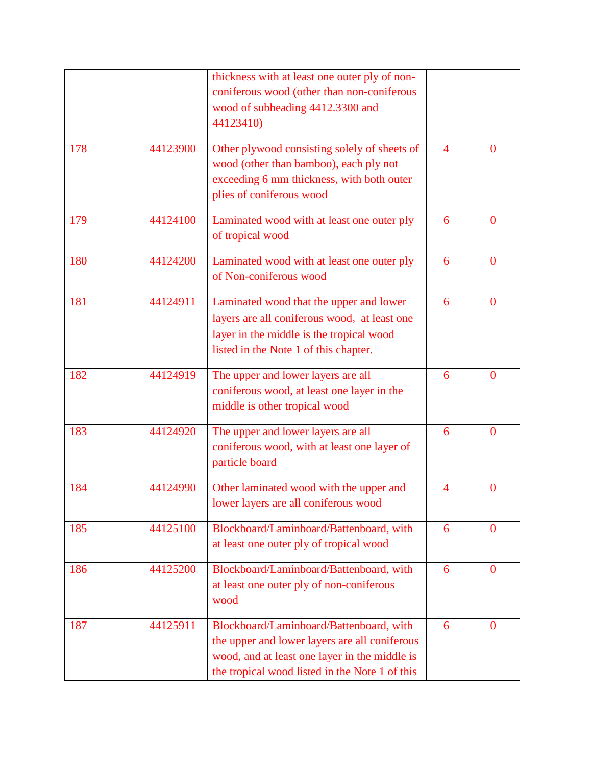|     |          | thickness with at least one outer ply of non-<br>coniferous wood (other than non-coniferous<br>wood of subheading 4412.3300 and<br>44123410)                                                |                |                |
|-----|----------|---------------------------------------------------------------------------------------------------------------------------------------------------------------------------------------------|----------------|----------------|
| 178 | 44123900 | Other plywood consisting solely of sheets of<br>wood (other than bamboo), each ply not<br>exceeding 6 mm thickness, with both outer<br>plies of coniferous wood                             | 4              | $\Omega$       |
| 179 | 44124100 | Laminated wood with at least one outer ply<br>of tropical wood                                                                                                                              | 6              | $\overline{0}$ |
| 180 | 44124200 | Laminated wood with at least one outer ply<br>of Non-coniferous wood                                                                                                                        | 6              | $\mathbf{0}$   |
| 181 | 44124911 | Laminated wood that the upper and lower<br>layers are all coniferous wood, at least one<br>layer in the middle is the tropical wood<br>listed in the Note 1 of this chapter.                | 6              | $\overline{0}$ |
| 182 | 44124919 | The upper and lower layers are all<br>coniferous wood, at least one layer in the<br>middle is other tropical wood                                                                           | 6              | $\overline{0}$ |
| 183 | 44124920 | The upper and lower layers are all<br>coniferous wood, with at least one layer of<br>particle board                                                                                         | 6              | $\overline{0}$ |
| 184 | 44124990 | Other laminated wood with the upper and<br>lower layers are all coniferous wood                                                                                                             | $\overline{4}$ | $\mathbf{0}$   |
| 185 | 44125100 | Blockboard/Laminboard/Battenboard, with<br>at least one outer ply of tropical wood                                                                                                          | 6              | $\mathbf{0}$   |
| 186 | 44125200 | Blockboard/Laminboard/Battenboard, with<br>at least one outer ply of non-coniferous<br>wood                                                                                                 | 6              | $\mathbf{0}$   |
| 187 | 44125911 | Blockboard/Laminboard/Battenboard, with<br>the upper and lower layers are all coniferous<br>wood, and at least one layer in the middle is<br>the tropical wood listed in the Note 1 of this | 6              | $\mathbf{0}$   |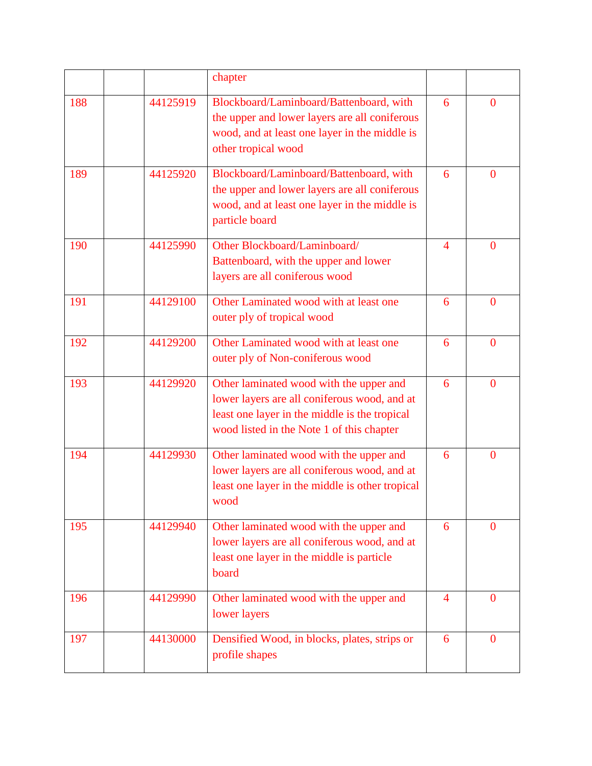|     |          | chapter                                                                                                                                                                               |                |                |
|-----|----------|---------------------------------------------------------------------------------------------------------------------------------------------------------------------------------------|----------------|----------------|
| 188 | 44125919 | Blockboard/Laminboard/Battenboard, with<br>the upper and lower layers are all coniferous<br>wood, and at least one layer in the middle is<br>other tropical wood                      | 6              | $\overline{0}$ |
| 189 | 44125920 | Blockboard/Laminboard/Battenboard, with<br>the upper and lower layers are all coniferous<br>wood, and at least one layer in the middle is<br>particle board                           | 6              | $\bf{0}$       |
| 190 | 44125990 | Other Blockboard/Laminboard/<br>Battenboard, with the upper and lower<br>layers are all coniferous wood                                                                               | $\overline{4}$ | $\mathbf{0}$   |
| 191 | 44129100 | Other Laminated wood with at least one<br>outer ply of tropical wood                                                                                                                  | 6              | $\mathbf{0}$   |
| 192 | 44129200 | Other Laminated wood with at least one<br>outer ply of Non-coniferous wood                                                                                                            | 6              | $\mathbf{0}$   |
| 193 | 44129920 | Other laminated wood with the upper and<br>lower layers are all coniferous wood, and at<br>least one layer in the middle is the tropical<br>wood listed in the Note 1 of this chapter | 6              | $\bf{0}$       |
| 194 | 44129930 | Other laminated wood with the upper and<br>lower layers are all coniferous wood, and at<br>least one layer in the middle is other tropical<br>wood                                    | 6              | $\overline{0}$ |
| 195 | 44129940 | Other laminated wood with the upper and<br>lower layers are all coniferous wood, and at<br>least one layer in the middle is particle<br>board                                         | 6              | $\overline{0}$ |
| 196 | 44129990 | Other laminated wood with the upper and<br>lower layers                                                                                                                               | $\overline{4}$ | $\mathbf{0}$   |
| 197 | 44130000 | Densified Wood, in blocks, plates, strips or<br>profile shapes                                                                                                                        | 6              | $\mathbf{0}$   |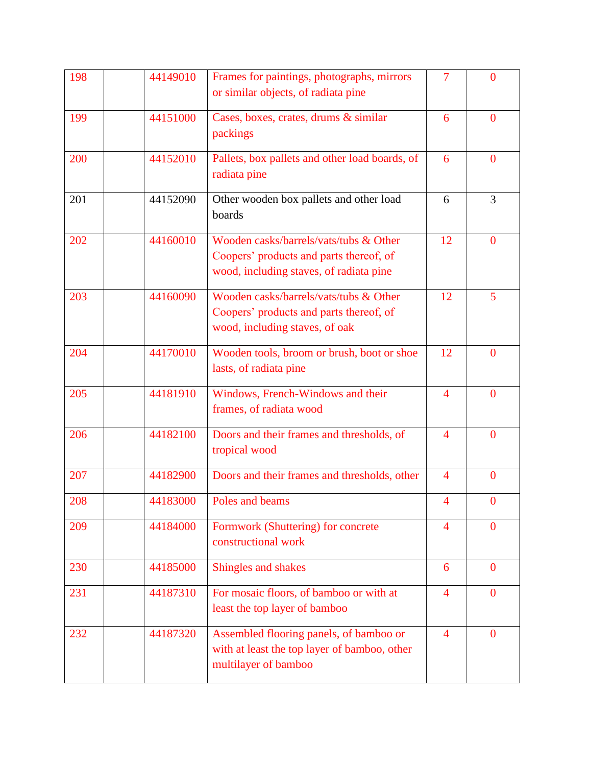| 198 | 44149010 | Frames for paintings, photographs, mirrors<br>or similar objects, of radiata pine                                            | 7                        | $\overline{0}$ |
|-----|----------|------------------------------------------------------------------------------------------------------------------------------|--------------------------|----------------|
| 199 | 44151000 | Cases, boxes, crates, drums & similar<br>packings                                                                            | 6                        | $\overline{0}$ |
| 200 | 44152010 | Pallets, box pallets and other load boards, of<br>radiata pine                                                               | 6                        | $\mathbf{0}$   |
| 201 | 44152090 | Other wooden box pallets and other load<br>boards                                                                            | 6                        | 3              |
| 202 | 44160010 | Wooden casks/barrels/vats/tubs & Other<br>Coopers' products and parts thereof, of<br>wood, including staves, of radiata pine | 12                       | $\overline{0}$ |
| 203 | 44160090 | Wooden casks/barrels/vats/tubs & Other<br>Coopers' products and parts thereof, of<br>wood, including staves, of oak          | 12                       | 5              |
| 204 | 44170010 | Wooden tools, broom or brush, boot or shoe<br>lasts, of radiata pine                                                         | 12                       | $\overline{0}$ |
| 205 | 44181910 | Windows, French-Windows and their<br>frames, of radiata wood                                                                 | $\overline{4}$           | $\overline{0}$ |
| 206 | 44182100 | Doors and their frames and thresholds, of<br>tropical wood                                                                   | $\overline{4}$           | $\overline{0}$ |
| 207 | 44182900 | Doors and their frames and thresholds, other                                                                                 | $\overline{4}$           | $\overline{0}$ |
| 208 | 44183000 | Poles and beams                                                                                                              | $\overline{\mathcal{A}}$ | $\overline{0}$ |
| 209 | 44184000 | Formwork (Shuttering) for concrete<br>constructional work                                                                    | $\overline{4}$           | $\overline{0}$ |
| 230 | 44185000 | Shingles and shakes                                                                                                          | 6                        | $\overline{0}$ |
| 231 | 44187310 | For mosaic floors, of bamboo or with at<br>least the top layer of bamboo                                                     | $\overline{4}$           | $\mathbf{0}$   |
| 232 | 44187320 | Assembled flooring panels, of bamboo or<br>with at least the top layer of bamboo, other<br>multilayer of bamboo              | $\overline{4}$           | $\mathbf{0}$   |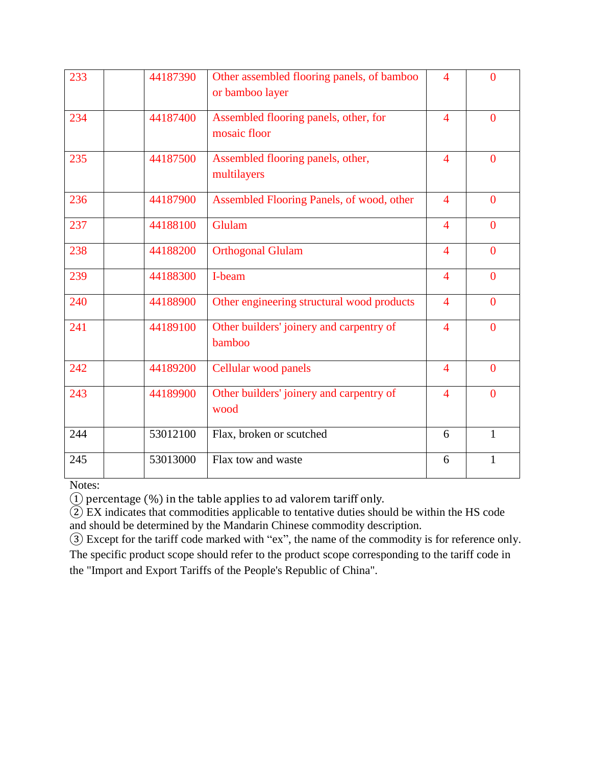| 233 | 44187390 | Other assembled flooring panels, of bamboo<br>or bamboo layer | $\overline{4}$           | $\overline{0}$ |
|-----|----------|---------------------------------------------------------------|--------------------------|----------------|
| 234 | 44187400 | Assembled flooring panels, other, for<br>mosaic floor         | $\overline{\mathcal{A}}$ | $\theta$       |
| 235 | 44187500 | Assembled flooring panels, other,<br>multilayers              | $\overline{4}$           | $\theta$       |
| 236 | 44187900 | Assembled Flooring Panels, of wood, other                     | $\overline{4}$           | $\overline{0}$ |
| 237 | 44188100 | Glulam                                                        | $\overline{4}$           | $\overline{0}$ |
| 238 | 44188200 | <b>Orthogonal Glulam</b>                                      | $\overline{4}$           | $\overline{0}$ |
| 239 | 44188300 | I-beam                                                        | $\overline{4}$           | $\overline{0}$ |
| 240 | 44188900 | Other engineering structural wood products                    | $\overline{4}$           | $\theta$       |
| 241 | 44189100 | Other builders' joinery and carpentry of<br>bamboo            | $\overline{4}$           | $\overline{0}$ |
| 242 | 44189200 | Cellular wood panels                                          | $\overline{\mathcal{A}}$ | $\overline{0}$ |
| 243 | 44189900 | Other builders' joinery and carpentry of<br>wood              | $\overline{\mathcal{A}}$ | $\overline{0}$ |
| 244 | 53012100 | Flax, broken or scutched                                      | 6                        | $\mathbf{1}$   |
| 245 | 53013000 | Flax tow and waste                                            | 6                        | 1              |

Notes:

① percentage (%) in the table applies to ad valorem tariff only.

 EX indicates that commodities applicable to tentative duties should be within the HS code and should be determined by the Mandarin Chinese commodity description.

 Except for the tariff code marked with "ex", the name of the commodity is for reference only. The specific product scope should refer to the product scope corresponding to the tariff code in the "Import and Export Tariffs of the People's Republic of China".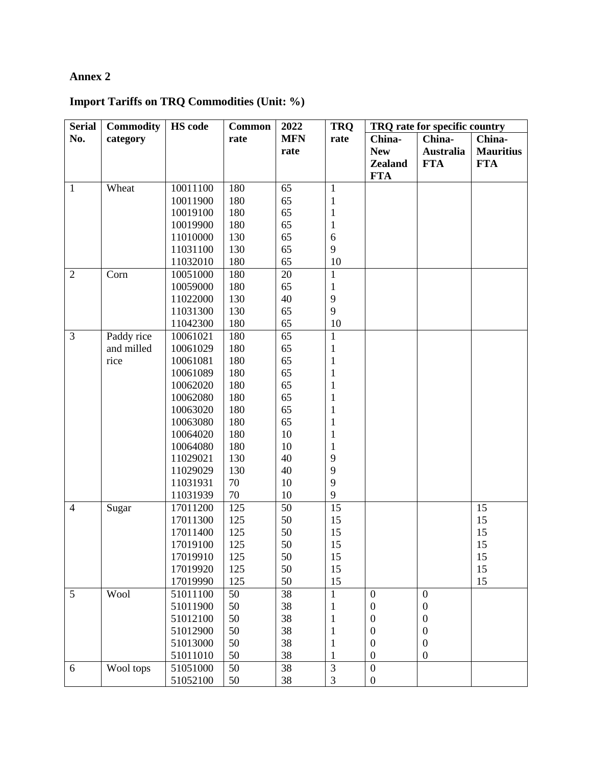## **Annex 2**

# **Import Tariffs on TRQ Commodities (Unit: %)**

| <b>Serial</b>  | <b>Commodity</b> | <b>HS</b> code | <b>Common</b> | 2022       | <b>TRQ</b>     | TRQ rate for specific country |                  |                  |
|----------------|------------------|----------------|---------------|------------|----------------|-------------------------------|------------------|------------------|
| No.            | category         |                | rate          | <b>MFN</b> | rate           | China-                        | China-           | China-           |
|                |                  |                |               | rate       |                | <b>New</b>                    | <b>Australia</b> | <b>Mauritius</b> |
|                |                  |                |               |            |                | <b>Zealand</b>                | <b>FTA</b>       | <b>FTA</b>       |
|                |                  |                |               |            |                | <b>FTA</b>                    |                  |                  |
| $\mathbf{1}$   | Wheat            | 10011100       | 180           | 65         | $\mathbf{1}$   |                               |                  |                  |
|                |                  | 10011900       | 180           | 65         | $\mathbf{1}$   |                               |                  |                  |
|                |                  | 10019100       | 180           | 65         | $\mathbf{1}$   |                               |                  |                  |
|                |                  | 10019900       | 180           | 65         | $\mathbf{1}$   |                               |                  |                  |
|                |                  | 11010000       | 130           | 65         | 6              |                               |                  |                  |
|                |                  | 11031100       | 130           | 65         | 9              |                               |                  |                  |
|                |                  | 11032010       | 180           | 65         | 10             |                               |                  |                  |
| $\overline{2}$ | Corn             | 10051000       | 180           | 20         | $\mathbf{1}$   |                               |                  |                  |
|                |                  | 10059000       | 180           | 65         | $\mathbf{1}$   |                               |                  |                  |
|                |                  | 11022000       | 130           | 40         | $\mathbf{9}$   |                               |                  |                  |
|                |                  | 11031300       | 130           | 65         | 9              |                               |                  |                  |
|                |                  | 11042300       | 180           | 65         | 10             |                               |                  |                  |
| $\overline{3}$ | Paddy rice       | 10061021       | 180           | 65         | $\mathbf{1}$   |                               |                  |                  |
|                | and milled       | 10061029       | 180           | 65         | 1              |                               |                  |                  |
|                | rice             | 10061081       | 180           | 65         | 1              |                               |                  |                  |
|                |                  | 10061089       | 180           | 65         | $\mathbf{1}$   |                               |                  |                  |
|                |                  | 10062020       | 180           | 65         | $\mathbf{1}$   |                               |                  |                  |
|                |                  | 10062080       | 180           | 65         | $\mathbf{1}$   |                               |                  |                  |
|                |                  | 10063020       | 180           | 65         | $\mathbf{1}$   |                               |                  |                  |
|                |                  | 10063080       | 180           | 65         | $\mathbf{1}$   |                               |                  |                  |
|                |                  | 10064020       | 180           | 10         | $\mathbf{1}$   |                               |                  |                  |
|                |                  | 10064080       | 180           | 10         | $\mathbf{1}$   |                               |                  |                  |
|                |                  | 11029021       | 130           | 40         | 9              |                               |                  |                  |
|                |                  | 11029029       | 130           | 40         | 9              |                               |                  |                  |
|                |                  | 11031931       | 70            | 10         | 9              |                               |                  |                  |
|                |                  | 11031939       | 70            | 10         | 9              |                               |                  |                  |
| $\overline{4}$ | Sugar            | 17011200       | 125           | 50         | 15             |                               |                  | 15               |
|                |                  | 17011300       | 125           | 50         | 15             |                               |                  | 15               |
|                |                  | 17011400       | 125           | 50         | 15             |                               |                  | 15               |
|                |                  | 17019100       | 125           | 50         | 15             |                               |                  | 15               |
|                |                  | 17019910       | 125           | 50         | 15             |                               |                  | 15               |
|                |                  | 17019920       | 125           | 50         | 15             |                               |                  | 15               |
|                |                  | 17019990       | 125           | 50         | 15             |                               |                  | 15               |
| 5              | Wool             | 51011100       | 50            | 38         | $\mathbf{1}$   | $\mathbf{0}$                  | $\boldsymbol{0}$ |                  |
|                |                  | 51011900       | 50            | 38         | 1              | $\boldsymbol{0}$              | $\boldsymbol{0}$ |                  |
|                |                  | 51012100       | 50            | 38         | 1              | $\boldsymbol{0}$              | $\boldsymbol{0}$ |                  |
|                |                  | 51012900       | 50            | 38         | 1              | $\boldsymbol{0}$              | $\boldsymbol{0}$ |                  |
|                |                  | 51013000       | 50            | 38         | 1              | $\boldsymbol{0}$              | $\boldsymbol{0}$ |                  |
|                |                  | 51011010       | 50            | 38         | 1              | $\boldsymbol{0}$              | $\boldsymbol{0}$ |                  |
| 6              | Wool tops        | 51051000       | 50            | 38         | $\mathfrak{Z}$ | $\overline{0}$                |                  |                  |
|                |                  | 51052100       | 50            | $38\,$     | 3              | $\boldsymbol{0}$              |                  |                  |